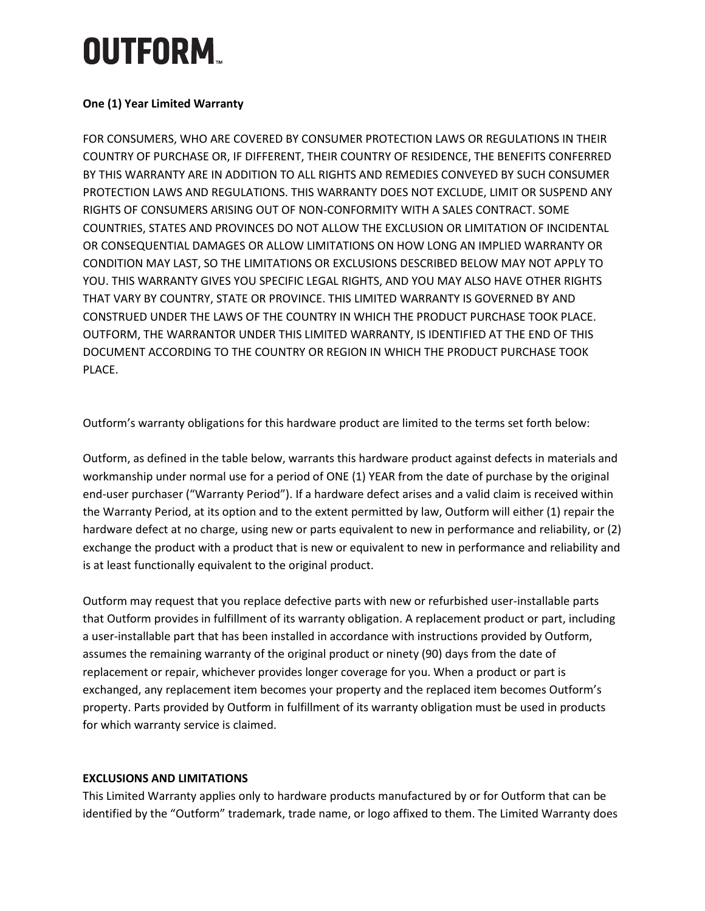#### **One (1) Year Limited Warranty**

FOR CONSUMERS, WHO ARE COVERED BY CONSUMER PROTECTION LAWS OR REGULATIONS IN THEIR COUNTRY OF PURCHASE OR, IF DIFFERENT, THEIR COUNTRY OF RESIDENCE, THE BENEFITS CONFERRED BY THIS WARRANTY ARE IN ADDITION TO ALL RIGHTS AND REMEDIES CONVEYED BY SUCH CONSUMER PROTECTION LAWS AND REGULATIONS. THIS WARRANTY DOES NOT EXCLUDE, LIMIT OR SUSPEND ANY RIGHTS OF CONSUMERS ARISING OUT OF NON-CONFORMITY WITH A SALES CONTRACT. SOME COUNTRIES, STATES AND PROVINCES DO NOT ALLOW THE EXCLUSION OR LIMITATION OF INCIDENTAL OR CONSEQUENTIAL DAMAGES OR ALLOW LIMITATIONS ON HOW LONG AN IMPLIED WARRANTY OR CONDITION MAY LAST, SO THE LIMITATIONS OR EXCLUSIONS DESCRIBED BELOW MAY NOT APPLY TO YOU. THIS WARRANTY GIVES YOU SPECIFIC LEGAL RIGHTS, AND YOU MAY ALSO HAVE OTHER RIGHTS THAT VARY BY COUNTRY, STATE OR PROVINCE. THIS LIMITED WARRANTY IS GOVERNED BY AND CONSTRUED UNDER THE LAWS OF THE COUNTRY IN WHICH THE PRODUCT PURCHASE TOOK PLACE. OUTFORM, THE WARRANTOR UNDER THIS LIMITED WARRANTY, IS IDENTIFIED AT THE END OF THIS DOCUMENT ACCORDING TO THE COUNTRY OR REGION IN WHICH THE PRODUCT PURCHASE TOOK PLACE.

Outform's warranty obligations for this hardware product are limited to the terms set forth below:

Outform, as defined in the table below, warrants this hardware product against defects in materials and workmanship under normal use for a period of ONE (1) YEAR from the date of purchase by the original end-user purchaser ("Warranty Period"). If a hardware defect arises and a valid claim is received within the Warranty Period, at its option and to the extent permitted by law, Outform will either (1) repair the hardware defect at no charge, using new or parts equivalent to new in performance and reliability, or (2) exchange the product with a product that is new or equivalent to new in performance and reliability and is at least functionally equivalent to the original product.

Outform may request that you replace defective parts with new or refurbished user-installable parts that Outform provides in fulfillment of its warranty obligation. A replacement product or part, including a user-installable part that has been installed in accordance with instructions provided by Outform, assumes the remaining warranty of the original product or ninety (90) days from the date of replacement or repair, whichever provides longer coverage for you. When a product or part is exchanged, any replacement item becomes your property and the replaced item becomes Outform's property. Parts provided by Outform in fulfillment of its warranty obligation must be used in products for which warranty service is claimed.

#### **EXCLUSIONS AND LIMITATIONS**

This Limited Warranty applies only to hardware products manufactured by or for Outform that can be identified by the "Outform" trademark, trade name, or logo affixed to them. The Limited Warranty does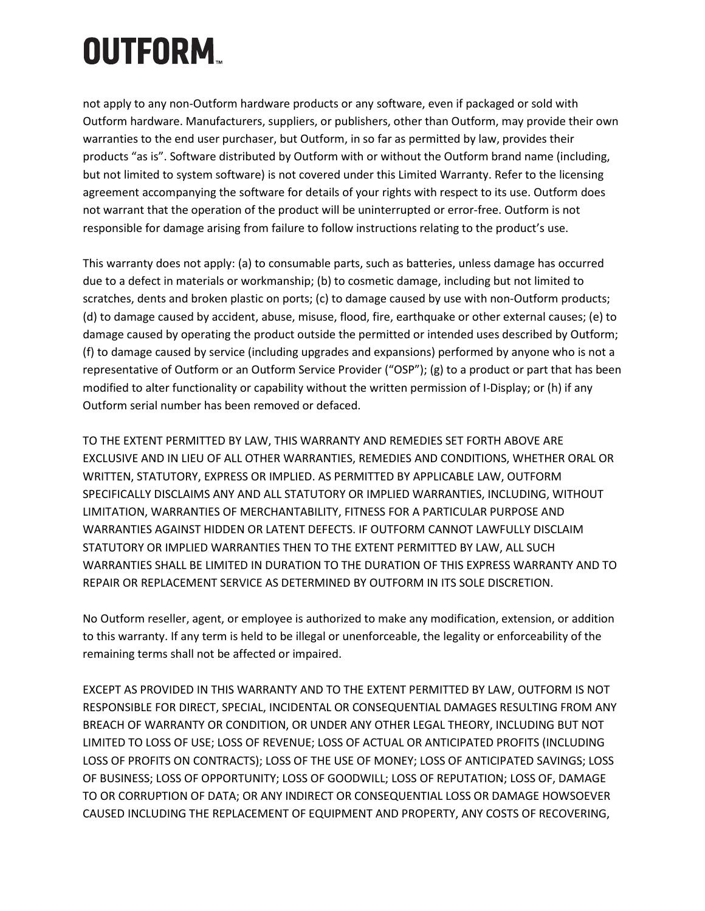not apply to any non-Outform hardware products or any software, even if packaged or sold with Outform hardware. Manufacturers, suppliers, or publishers, other than Outform, may provide their own warranties to the end user purchaser, but Outform, in so far as permitted by law, provides their products "as is". Software distributed by Outform with or without the Outform brand name (including, but not limited to system software) is not covered under this Limited Warranty. Refer to the licensing agreement accompanying the software for details of your rights with respect to its use. Outform does not warrant that the operation of the product will be uninterrupted or error-free. Outform is not responsible for damage arising from failure to follow instructions relating to the product's use.

This warranty does not apply: (a) to consumable parts, such as batteries, unless damage has occurred due to a defect in materials or workmanship; (b) to cosmetic damage, including but not limited to scratches, dents and broken plastic on ports; (c) to damage caused by use with non-Outform products; (d) to damage caused by accident, abuse, misuse, flood, fire, earthquake or other external causes; (e) to damage caused by operating the product outside the permitted or intended uses described by Outform; (f) to damage caused by service (including upgrades and expansions) performed by anyone who is not a representative of Outform or an Outform Service Provider ("OSP"); (g) to a product or part that has been modified to alter functionality or capability without the written permission of I-Display; or (h) if any Outform serial number has been removed or defaced.

TO THE EXTENT PERMITTED BY LAW, THIS WARRANTY AND REMEDIES SET FORTH ABOVE ARE EXCLUSIVE AND IN LIEU OF ALL OTHER WARRANTIES, REMEDIES AND CONDITIONS, WHETHER ORAL OR WRITTEN, STATUTORY, EXPRESS OR IMPLIED. AS PERMITTED BY APPLICABLE LAW, OUTFORM SPECIFICALLY DISCLAIMS ANY AND ALL STATUTORY OR IMPLIED WARRANTIES, INCLUDING, WITHOUT LIMITATION, WARRANTIES OF MERCHANTABILITY, FITNESS FOR A PARTICULAR PURPOSE AND WARRANTIES AGAINST HIDDEN OR LATENT DEFECTS. IF OUTFORM CANNOT LAWFULLY DISCLAIM STATUTORY OR IMPLIED WARRANTIES THEN TO THE EXTENT PERMITTED BY LAW, ALL SUCH WARRANTIES SHALL BE LIMITED IN DURATION TO THE DURATION OF THIS EXPRESS WARRANTY AND TO REPAIR OR REPLACEMENT SERVICE AS DETERMINED BY OUTFORM IN ITS SOLE DISCRETION.

No Outform reseller, agent, or employee is authorized to make any modification, extension, or addition to this warranty. If any term is held to be illegal or unenforceable, the legality or enforceability of the remaining terms shall not be affected or impaired.

EXCEPT AS PROVIDED IN THIS WARRANTY AND TO THE EXTENT PERMITTED BY LAW, OUTFORM IS NOT RESPONSIBLE FOR DIRECT, SPECIAL, INCIDENTAL OR CONSEQUENTIAL DAMAGES RESULTING FROM ANY BREACH OF WARRANTY OR CONDITION, OR UNDER ANY OTHER LEGAL THEORY, INCLUDING BUT NOT LIMITED TO LOSS OF USE; LOSS OF REVENUE; LOSS OF ACTUAL OR ANTICIPATED PROFITS (INCLUDING LOSS OF PROFITS ON CONTRACTS); LOSS OF THE USE OF MONEY; LOSS OF ANTICIPATED SAVINGS; LOSS OF BUSINESS; LOSS OF OPPORTUNITY; LOSS OF GOODWILL; LOSS OF REPUTATION; LOSS OF, DAMAGE TO OR CORRUPTION OF DATA; OR ANY INDIRECT OR CONSEQUENTIAL LOSS OR DAMAGE HOWSOEVER CAUSED INCLUDING THE REPLACEMENT OF EQUIPMENT AND PROPERTY, ANY COSTS OF RECOVERING,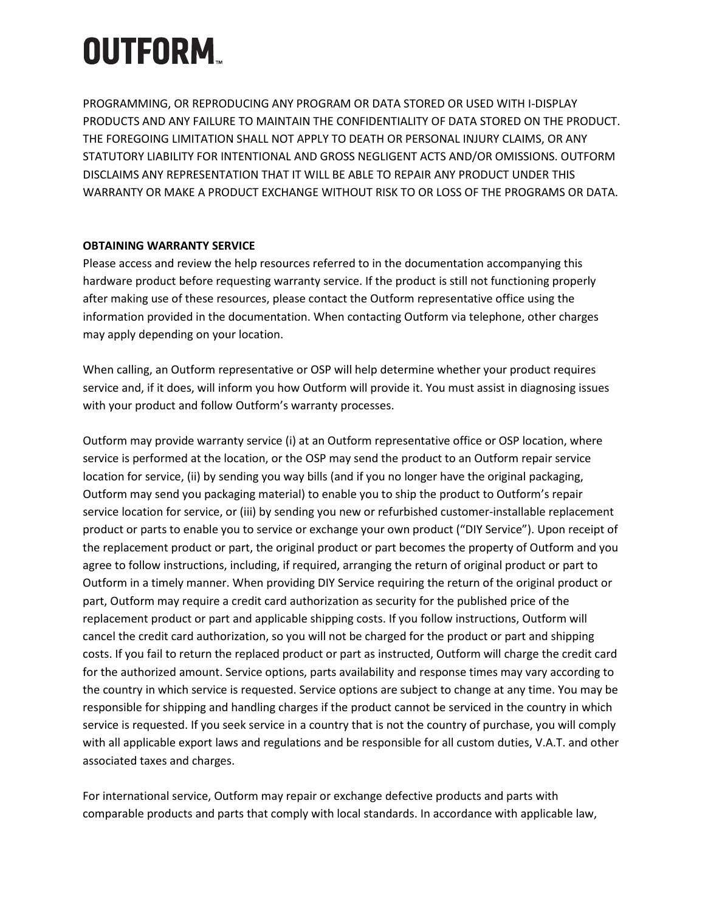PROGRAMMING, OR REPRODUCING ANY PROGRAM OR DATA STORED OR USED WITH I-DISPLAY PRODUCTS AND ANY FAILURE TO MAINTAIN THE CONFIDENTIALITY OF DATA STORED ON THE PRODUCT. THE FOREGOING LIMITATION SHALL NOT APPLY TO DEATH OR PERSONAL INJURY CLAIMS, OR ANY STATUTORY LIABILITY FOR INTENTIONAL AND GROSS NEGLIGENT ACTS AND/OR OMISSIONS. OUTFORM DISCLAIMS ANY REPRESENTATION THAT IT WILL BE ABLE TO REPAIR ANY PRODUCT UNDER THIS WARRANTY OR MAKE A PRODUCT EXCHANGE WITHOUT RISK TO OR LOSS OF THE PROGRAMS OR DATA.

#### **OBTAINING WARRANTY SERVICE**

Please access and review the help resources referred to in the documentation accompanying this hardware product before requesting warranty service. If the product is still not functioning properly after making use of these resources, please contact the Outform representative office using the information provided in the documentation. When contacting Outform via telephone, other charges may apply depending on your location.

When calling, an Outform representative or OSP will help determine whether your product requires service and, if it does, will inform you how Outform will provide it. You must assist in diagnosing issues with your product and follow Outform's warranty processes.

Outform may provide warranty service (i) at an Outform representative office or OSP location, where service is performed at the location, or the OSP may send the product to an Outform repair service location for service, (ii) by sending you way bills (and if you no longer have the original packaging, Outform may send you packaging material) to enable you to ship the product to Outform's repair service location for service, or (iii) by sending you new or refurbished customer-installable replacement product or parts to enable you to service or exchange your own product ("DIY Service"). Upon receipt of the replacement product or part, the original product or part becomes the property of Outform and you agree to follow instructions, including, if required, arranging the return of original product or part to Outform in a timely manner. When providing DIY Service requiring the return of the original product or part, Outform may require a credit card authorization as security for the published price of the replacement product or part and applicable shipping costs. If you follow instructions, Outform will cancel the credit card authorization, so you will not be charged for the product or part and shipping costs. If you fail to return the replaced product or part as instructed, Outform will charge the credit card for the authorized amount. Service options, parts availability and response times may vary according to the country in which service is requested. Service options are subject to change at any time. You may be responsible for shipping and handling charges if the product cannot be serviced in the country in which service is requested. If you seek service in a country that is not the country of purchase, you will comply with all applicable export laws and regulations and be responsible for all custom duties, V.A.T. and other associated taxes and charges.

For international service, Outform may repair or exchange defective products and parts with comparable products and parts that comply with local standards. In accordance with applicable law,